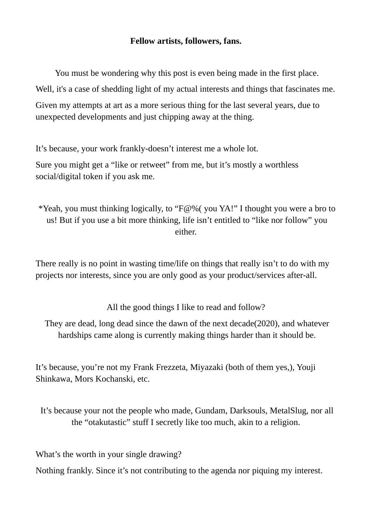## **Fellow artists, followers, fans.**

You must be wondering why this post is even being made in the first place. Well, it's a case of shedding light of my actual interests and things that fascinates me. Given my attempts at art as a more serious thing for the last several years, due to unexpected developments and just chipping away at the thing.

It's because, your work frankly-doesn't interest me a whole lot.

Sure you might get a "like or retweet" from me, but it's mostly a worthless social/digital token if you ask me.

\*Yeah, you must thinking logically, to " $F@%$  you YA!" I thought you were a bro to us! But if you use a bit more thinking, life isn't entitled to "like nor follow" you either.

There really is no point in wasting time/life on things that really isn't to do with my projects nor interests, since you are only good as your product/services after-all.

All the good things I like to read and follow?

They are dead, long dead since the dawn of the next decade(2020), and whatever hardships came along is currently making things harder than it should be.

It's because, you're not my Frank Frezzeta, Miyazaki (both of them yes,), Youji Shinkawa, Mors Kochanski, etc.

It's because your not the people who made, Gundam, Darksouls, MetalSlug, nor all the "otakutastic" stuff I secretly like too much, akin to a religion.

What's the worth in your single drawing?

Nothing frankly. Since it's not contributing to the agenda nor piquing my interest.